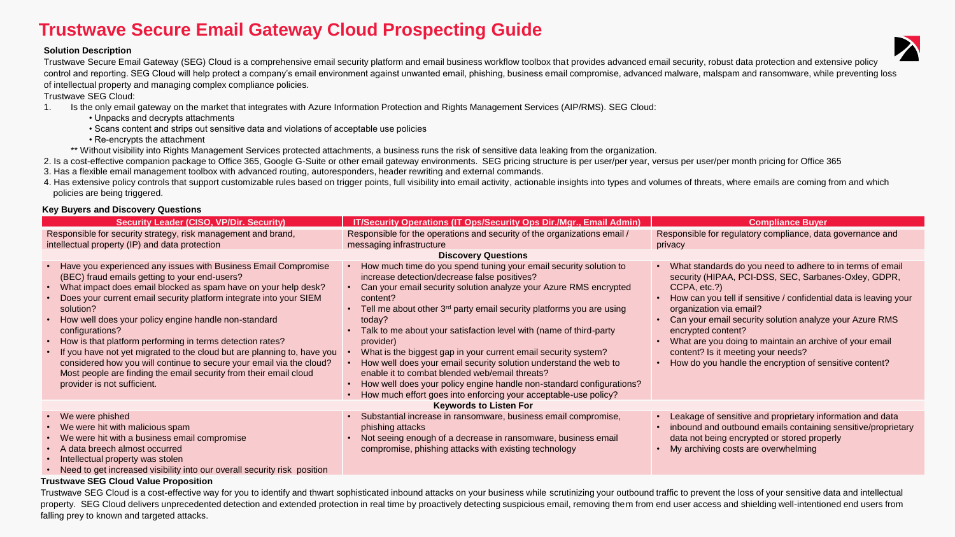# **Trustwave Secure Email Gateway Cloud Prospecting Guide**

### **Solution Description**

Trustwave Secure Email Gateway (SEG) Cloud is a comprehensive email security platform and email business workflow toolbox that provides advanced email security, robust data protection and extensive policy control and reporting. SEG Cloud will help protect a company's email environment against unwanted email, phishing, business email compromise, advanced malware, malspam and ransomware, while preventing loss of intellectual property and managing complex compliance policies.

Trustwave SEG Cloud:

- 1. Is the only email gateway on the market that integrates with Azure Information Protection and Rights Management Services (AIP/RMS). SEG Cloud:
	- Unpacks and decrypts attachments
	- Scans content and strips out sensitive data and violations of acceptable use policies
	- Re-encrypts the attachment
	- \*\* Without visibility into Rights Management Services protected attachments, a business runs the risk of sensitive data leaking from the organization.
- 2. Is a cost-effective companion package to Office 365, Google G-Suite or other email gateway environments. SEG pricing structure is per user/per year, versus per user/per month pricing for Office 365
- 3. Has a flexible email management toolbox with advanced routing, autoresponders, header rewriting and external commands.
- 4. Has extensive policy controls that support customizable rules based on trigger points, full visibility into email activity, actionable insights into types and volumes of threats, where emails are coming from and which policies are being triggered.

# **Key Buyers and Discovery Questions**

|                                                                                                                                                                                                                                                                                                                                                                                                                                                                                                                                                                                                                                                                             |                                                                                                                                                                                                                                                                                                                                                                                                                                                                                                                                                                                                                                                                                                                 | <b>Compliance Buyer</b>                                                                                                                                                                                                                                                                                                                                                                                                                                                       |  |  |
|-----------------------------------------------------------------------------------------------------------------------------------------------------------------------------------------------------------------------------------------------------------------------------------------------------------------------------------------------------------------------------------------------------------------------------------------------------------------------------------------------------------------------------------------------------------------------------------------------------------------------------------------------------------------------------|-----------------------------------------------------------------------------------------------------------------------------------------------------------------------------------------------------------------------------------------------------------------------------------------------------------------------------------------------------------------------------------------------------------------------------------------------------------------------------------------------------------------------------------------------------------------------------------------------------------------------------------------------------------------------------------------------------------------|-------------------------------------------------------------------------------------------------------------------------------------------------------------------------------------------------------------------------------------------------------------------------------------------------------------------------------------------------------------------------------------------------------------------------------------------------------------------------------|--|--|
| <b>Security Leader (CISO, VP/Dir. Security)</b>                                                                                                                                                                                                                                                                                                                                                                                                                                                                                                                                                                                                                             | <b>IT/Security Operations (IT Ops/Security Ops Dir./Mgr., Email Admin)</b>                                                                                                                                                                                                                                                                                                                                                                                                                                                                                                                                                                                                                                      |                                                                                                                                                                                                                                                                                                                                                                                                                                                                               |  |  |
| Responsible for security strategy, risk management and brand,                                                                                                                                                                                                                                                                                                                                                                                                                                                                                                                                                                                                               | Responsible for the operations and security of the organizations email /                                                                                                                                                                                                                                                                                                                                                                                                                                                                                                                                                                                                                                        | Responsible for regulatory compliance, data governance and                                                                                                                                                                                                                                                                                                                                                                                                                    |  |  |
| intellectual property (IP) and data protection                                                                                                                                                                                                                                                                                                                                                                                                                                                                                                                                                                                                                              | messaging infrastructure                                                                                                                                                                                                                                                                                                                                                                                                                                                                                                                                                                                                                                                                                        | privacy                                                                                                                                                                                                                                                                                                                                                                                                                                                                       |  |  |
| <b>Discovery Questions</b>                                                                                                                                                                                                                                                                                                                                                                                                                                                                                                                                                                                                                                                  |                                                                                                                                                                                                                                                                                                                                                                                                                                                                                                                                                                                                                                                                                                                 |                                                                                                                                                                                                                                                                                                                                                                                                                                                                               |  |  |
| Have you experienced any issues with Business Email Compromise<br>(BEC) fraud emails getting to your end-users?<br>• What impact does email blocked as spam have on your help desk?<br>Does your current email security platform integrate into your SIEM<br>solution?<br>• How well does your policy engine handle non-standard<br>configurations?<br>• How is that platform performing in terms detection rates?<br>• If you have not yet migrated to the cloud but are planning to, have you<br>considered how you will continue to secure your email via the cloud?<br>Most people are finding the email security from their email cloud<br>provider is not sufficient. | How much time do you spend tuning your email security solution to<br>increase detection/decrease false positives?<br>Can your email security solution analyze your Azure RMS encrypted<br>content?<br>Tell me about other $3^{rd}$ party email security platforms you are using<br>today?<br>Talk to me about your satisfaction level with (name of third-party<br>provider)<br>What is the biggest gap in your current email security system?<br>How well does your email security solution understand the web to<br>enable it to combat blended web/email threats?<br>How well does your policy engine handle non-standard configurations?<br>How much effort goes into enforcing your acceptable-use policy? | What standards do you need to adhere to in terms of email<br>security (HIPAA, PCI-DSS, SEC, Sarbanes-Oxley, GDPR,<br>CCPA, etc.?)<br>How can you tell if sensitive / confidential data is leaving your<br>organization via email?<br>Can your email security solution analyze your Azure RMS<br>encrypted content?<br>What are you doing to maintain an archive of your email<br>content? Is it meeting your needs?<br>How do you handle the encryption of sensitive content? |  |  |
|                                                                                                                                                                                                                                                                                                                                                                                                                                                                                                                                                                                                                                                                             |                                                                                                                                                                                                                                                                                                                                                                                                                                                                                                                                                                                                                                                                                                                 |                                                                                                                                                                                                                                                                                                                                                                                                                                                                               |  |  |
| <b>Keywords to Listen For</b>                                                                                                                                                                                                                                                                                                                                                                                                                                                                                                                                                                                                                                               |                                                                                                                                                                                                                                                                                                                                                                                                                                                                                                                                                                                                                                                                                                                 |                                                                                                                                                                                                                                                                                                                                                                                                                                                                               |  |  |
| • We were phished<br>• We were hit with malicious spam<br>• We were hit with a business email compromise<br>• A data breech almost occurred<br>Intellectual property was stolen<br>• Need to get increased visibility into our overall security risk position                                                                                                                                                                                                                                                                                                                                                                                                               | Substantial increase in ransomware, business email compromise,<br>phishing attacks<br>Not seeing enough of a decrease in ransomware, business email<br>compromise, phishing attacks with existing technology                                                                                                                                                                                                                                                                                                                                                                                                                                                                                                    | Leakage of sensitive and proprietary information and data<br>inbound and outbound emails containing sensitive/proprietary<br>data not being encrypted or stored properly<br>My archiving costs are overwhelming                                                                                                                                                                                                                                                               |  |  |

## **Trustwave SEG Cloud Value Proposition**

Trustwave SEG Cloud is a cost-effective way for you to identify and thwart sophisticated inbound attacks on your business while scrutinizing your outbound traffic to prevent the loss of your sensitive data and intellectual property. SEG Cloud delivers unprecedented detection and extended protection in real time by proactively detecting suspicious email, removing them from end user access and shielding well-intentioned end users from falling prey to known and targeted attacks.